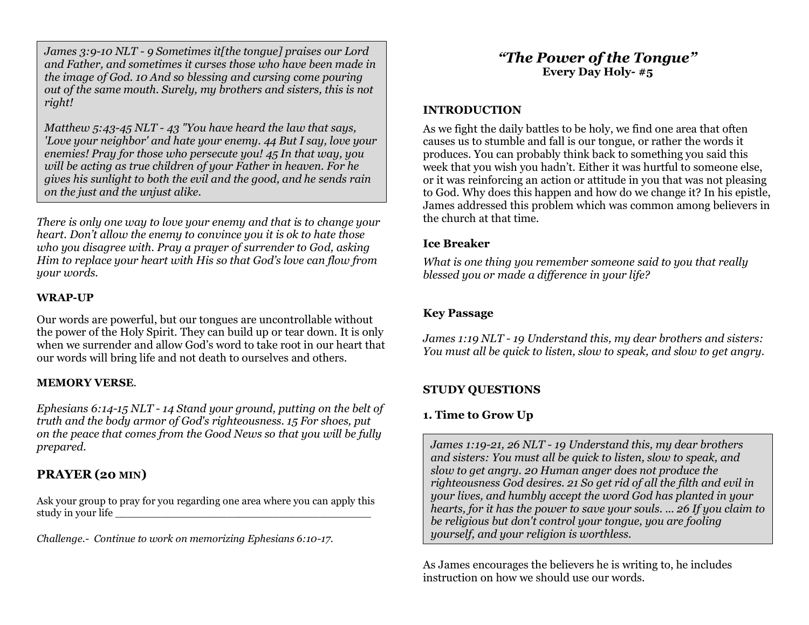*James 3:9-10 NLT - 9 Sometimes it[the tongue] praises our Lord and Father, and sometimes it curses those who have been made in the image of God. 10 And so blessing and cursing come pouring out of the same mouth. Surely, my brothers and sisters, this is not right!*

*Matthew 5:43-45 NLT - 43 "You have heard the law that says, 'Love your neighbor' and hate your enemy. 44 But I say, love your enemies! Pray for those who persecute you! 45 In that way, you will be acting as true children of your Father in heaven. For he gives his sunlight to both the evil and the good, and he sends rain on the just and the unjust alike.*

*There is only one way to love your enemy and that is to change your heart. Don't allow the enemy to convince you it is ok to hate those who you disagree with. Pray a prayer of surrender to God, asking Him to replace your heart with His so that God's love can flow from your words.*

#### **WRAP-UP**

Our words are powerful, but our tongues are uncontrollable without the power of the Holy Spirit. They can build up or tear down. It is only when we surrender and allow God's word to take root in our heart that our words will bring life and not death to ourselves and others.

#### **MEMORY VERSE***.*

*Ephesians 6:14-15 NLT - 14 Stand your ground, putting on the belt of truth and the body armor of God's righteousness. 15 For shoes, put on the peace that comes from the Good News so that you will be fully prepared.*

### **PRAYER (20 MIN)**

Ask your group to pray for you regarding one area where you can apply this study in your life

*Challenge.- Continue to work on memorizing Ephesians 6:10-17.*

# *"The Power of the Tongue"* **Every Day Holy- #5**

### **INTRODUCTION**

As we fight the daily battles to be holy, we find one area that often causes us to stumble and fall is our tongue, or rather the words it produces. You can probably think back to something you said this week that you wish you hadn't. Either it was hurtful to someone else, or it was reinforcing an action or attitude in you that was not pleasing to God. Why does this happen and how do we change it? In his epistle, James addressed this problem which was common among believers in the church at that time.

#### **Ice Breaker**

*What is one thing you remember someone said to you that really blessed you or made a difference in your life?*

### **Key Passage**

*James 1:19 NLT - 19 Understand this, my dear brothers and sisters: You must all be quick to listen, slow to speak, and slow to get angry.*

# **STUDY QUESTIONS**

# **1. Time to Grow Up**

*James 1:19-21, 26 NLT - 19 Understand this, my dear brothers and sisters: You must all be quick to listen, slow to speak, and slow to get angry. 20 Human anger does not produce the righteousness God desires. 21 So get rid of all the filth and evil in your lives, and humbly accept the word God has planted in your hearts, for it has the power to save your souls. ... 26 If you claim to be religious but don't control your tongue, you are fooling yourself, and your religion is worthless.*

As James encourages the believers he is writing to, he includes instruction on how we should use our words.